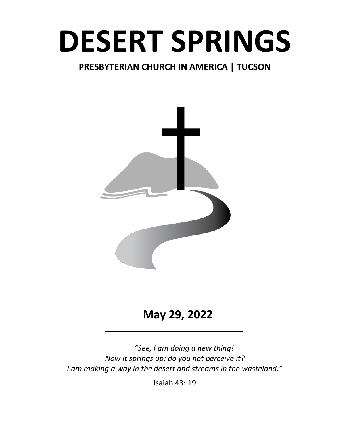# **DESERT SPRINGS**

# **PRESBYTERIAN CHURCH IN AMERICA | TUCSON**



# **May 29, 2022**

*"See, I am doing a new thing! Now it springs up; do you not perceive it? I am making a way in the desert and streams in the wasteland."*

Isaiah 43: 19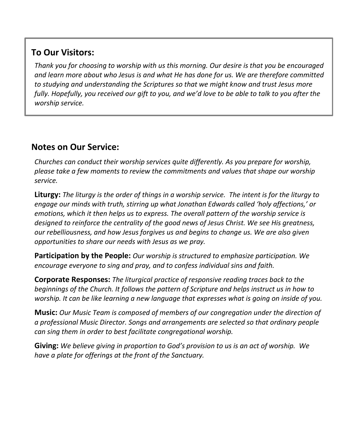# **To Our Visitors:**

*Thank you for choosing to worship with us this morning. Our desire is that you be encouraged and learn more about who Jesus is and what He has done for us. We are therefore committed to studying and understanding the Scriptures so that we might know and trust Jesus more fully. Hopefully, you received our gift to you, and we'd love to be able to talk to you after the worship service.*

# **Notes on Our Service:**

*Churches can conduct their worship services quite differently. As you prepare for worship, please take a few moments to review the commitments and values that shape our worship service.*

**Liturgy:** *The liturgy is the order of things in a worship service. The intent is for the liturgy to engage our minds with truth, stirring up what Jonathan Edwards called 'holy affections,' or emotions, which it then helps us to express. The overall pattern of the worship service is designed to reinforce the centrality of the good news of Jesus Christ. We see His greatness, our rebelliousness, and how Jesus forgives us and begins to change us. We are also given opportunities to share our needs with Jesus as we pray.*

**Participation by the People:** *Our worship is structured to emphasize participation. We encourage everyone to sing and pray, and to confess individual sins and faith.*

**Corporate Responses:** *The liturgical practice of responsive reading traces back to the beginnings of the Church. It follows the pattern of Scripture and helps instruct us in how to worship. It can be like learning a new language that expresses what is going on inside of you.*

**Music:** *Our Music Team is composed of members of our congregation under the direction of a professional Music Director. Songs and arrangements are selected so that ordinary people can sing them in order to best facilitate congregational worship.*

**Giving:** *We believe giving in proportion to God's provision to us is an act of worship. We have a plate for offerings at the front of the Sanctuary.*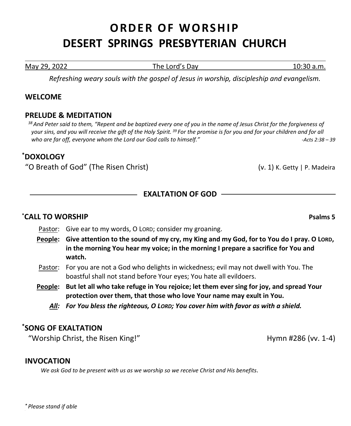# **ORDER OF WORSHIP DESERT SPRINGS PRESBYTERIAN CHURCH**

May 29, 2022 The Lord's Day 10:30 a.m.

*Refreshing weary souls with the gospel of Jesus in worship, discipleship and evangelism.*

# **WELCOME**

#### **PRELUDE & MEDITATION**

*<sup>38</sup>And Peter said to them, "Repent and be baptized every one of you in the name of Jesus Christ for the forgiveness of your sins, and you will receive the gift of the Holy Spirit. 39 For the promise is for you and for your children and for all who are far off, everyone whom the Lord our God calls to himself." -Acts 2:38 – 39*

# **\* DOXOLOGY**

"O Breath of God" (The Risen Christ) (v. 1) K. Getty | P. Madeira

# **EXALTATION OF GOD**

# **\*CALL TO WORSHIP Psalms 5**

- Pastor: Give ear to my words, O LORD; consider my groaning.
- **People: Give attention to the sound of my cry, my King and my God, for to You do I pray. O LORD, in the morning You hear my voice; in the morning I prepare a sacrifice for You and watch.**
- Pastor: For you are not a God who delights in wickedness; evil may not dwell with You. The boastful shall not stand before Your eyes; You hate all evildoers.
- **People: But let all who take refuge in You rejoice; let them ever sing for joy, and spread Your protection over them, that those who love Your name may exult in You.**
	- *All: For You bless the righteous, O LORD; You cover him with favor as with a shield.*

# **\*SONG OF EXALTATION**

"Worship Christ, the Risen King!" The Contract of the Hymn #286 (vv. 1-4)

# **INVOCATION**

*We ask God to be present with us as we worship so we receive Christ and His benefits.*

*\* Please stand if able*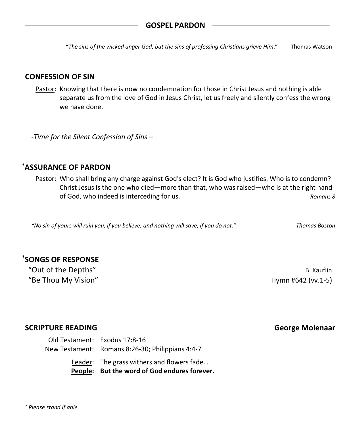"*The sins of the wicked anger God, but the sins of professing Christians grieve Him*." -Thomas Watson

#### **CONFESSION OF SIN**

Pastor: Knowing that there is now no condemnation for those in Christ Jesus and nothing is able separate us from the love of God in Jesus Christ, let us freely and silently confess the wrong we have done.

*-Time for the Silent Confession of Sins –*

# **\*ASSURANCE OF PARDON**

Pastor: Who shall bring any charge against God's elect? It is God who justifies. Who is to condemn? Christ Jesus is the one who died—more than that, who was raised—who is at the right hand of God, who indeed is interceding for us. *-Romans 8*

*"No sin of yours will ruin you, if you believe; and nothing will save, if you do not." -Thomas Boston*

# **\*SONGS OF RESPONSE**

"Out of the Depths" and the state of the Depths" and the state of the Depths" and the state of the B. Kauflin "Be Thou My Vision" Hymn #642 (vv.1-5)

#### **SCRIPTURE READING George Molenaar**

Old Testament: Exodus 17:8-16 New Testament: Romans 8:26-30; Philippians 4:4-7 Leader: The grass withers and flowers fade…

**People: But the word of God endures forever.**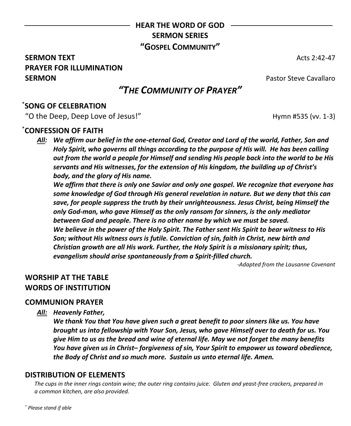# **HEAR THE WORD OF GOD SERMON SERIES "GOSPEL COMMUNITY"**

# **SERMON TEXT** Acts 2:42-47 **PRAYER FOR ILLUMINATION SERMON Pastor Steve Cavallaro**

# *"THE COMMUNITY OF PRAYER"*

# \* **SONG OF CELEBRATION**

"O the Deep, Deep Love of Jesus!" The Contract of the Hymn #535 (vv. 1-3)

# \* **CONFESSION OF FAITH**

*All: We affirm our belief in the one-eternal God, Creator and Lord of the world, Father, Son and Holy Spirit, who governs all things according to the purpose of His will. He has been calling out from the world a people for Himself and sending His people back into the world to be His servants and His witnesses, for the extension of His kingdom, the building up of Christ's body, and the glory of His name.*

*We affirm that there is only one Savior and only one gospel. We recognize that everyone has some knowledge of God through His general revelation in nature. But we deny that this can save, for people suppress the truth by their unrighteousness. Jesus Christ, being Himself the only God-man, who gave Himself as the only ransom for sinners, is the only mediator between God and people. There is no other name by which we must be saved. We believe in the power of the Holy Spirit. The Father sent His Spirit to bear witness to His Son; without His witness ours is futile. Conviction of sin, faith in Christ, new birth and Christian growth are all His work. Further, the Holy Spirit is a missionary spirit; thus, evangelism should arise spontaneously from a Spirit-filled church.*

*-Adapted from the Lausanne Covenant*

# **WORSHIP AT THE TABLE WORDS OF INSTITUTION**

#### **COMMUNION PRAYER**

*All: Heavenly Father,*

*We thank You that You have given such a great benefit to poor sinners like us. You have brought us into fellowship with Your Son, Jesus, who gave Himself over to death for us. You give Him to us as the bread and wine of eternal life. May we not forget the many benefits You have given us in Christ– forgiveness of sin, Your Spirit to empower us toward obedience, the Body of Christ and so much more. Sustain us unto eternal life. Amen.*

# **DISTRIBUTION OF ELEMENTS**

*The cups in the inner rings contain wine; the outer ring contains juice. Gluten and yeast-free crackers, prepared in a common kitchen, are also provided.*